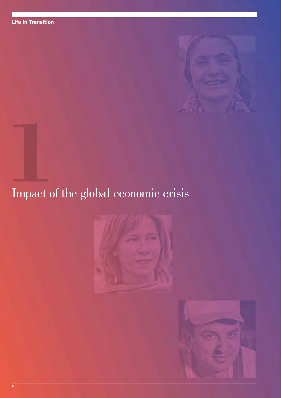

# Impact of the global economic crisis **1**



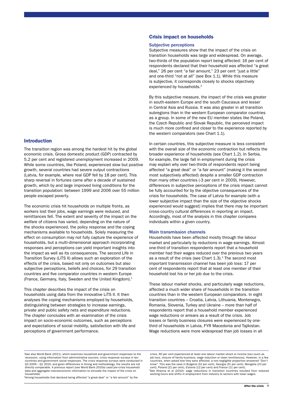## Introduction

The transition region was among the hardest hit by the global economic crisis. Gross domestic product (GDP) contracted by 5.2 per cent and registered unemployment increased in 2009. While some countries, like Poland, experienced slow but positive growth, several countries had severe output contractions (Latvia, for example, where real GDP fell by 18 per cent). This sharp reversal in fortunes came after a decade of sustained growth, which by and large improved living conditions for the transition population: between 1999 and 2006 over 55 million people escaped poverty.

The economic crisis hit households on multiple fronts, as workers lost their jobs, wage earnings were reduced, and remittances fell. The extent and severity of the impact on the welfare of citizens has varied, depending on the nature of the shocks experienced, the policy response and the coping mechanisms available to households. Solely measuring the effect on consumption may not fully capture the experience of households, but a multi-dimensional approach incorporating responses and perceptions can yield important insights into the impact as well as its consequences. The second Life in Transition Survey (LiTS II) allows such an exploration of the effects of the crisis, based not only on outcomes but also subjective perceptions, beliefs and choices, for 29 transition countries and five comparator countries in western Europe (France, Germany, Italy, Sweden and the United Kingdom).1

This chapter describes the impact of the crisis on households using data from the innovative LiTS II. It then analyses the coping mechanisms employed by households, distinguishing between strategies to increase earnings, private and public safety nets and expenditure reductions. The chapter concludes with an examination of the crisis impact on socio-economic outcomes, such as perceptions and expectations of social mobility, satisfaction with life and perceptions of government performance.

# Crisis impact on households

#### Subjective perceptions

Subjective measures show that the impact of the crisis on transition households was large and widespread. On average, two-thirds of the population report being affected: 16 per cent of respondents declared that their household was affected "a great deal," 26 per cent "a fair amount," 23 per cent "just a little" and one-third "not at all" (see Box 1.1). While this measure is subjective, it corresponds closely to shocks objectively experienced by households.<sup>2</sup>

By this subjective measure, the impact of the crisis was greater in south-eastern Europe and the south Caucasus and lesser in Central Asia and Russia. It was also greater in all transition subregions than in the western European comparator countries as a group. In some of the new EU member states like Poland, the Czech Republic and Slovak Republic, the perceived impact is much more confined and closer to the experience reported by the western comparators (see Chart 1.1).

In certain countries, this subjective measure is less consistent with the overall size of the economic contraction but reflects the broader experience of households (see Chart 1.2). In Serbia, for example, the large fall in employment during the crisis may explain why over two-thirds of respondents report being affected "a great deal" or "a fair amount" (making it the second most subjectively affected) despite a smaller GDP contraction than many other countries (-3 per cent in 2009). However, differences in subjective perceptions of the crisis impact cannot be fully accounted for by the objective consequences of the crisis for households. The case of Latvia for example (with a lower subjective impact than the size of the objective shocks experienced would suggest) implies that there may be important cross-country cultural differences in reporting an impact. Accordingly, most of the analysis in this chapter compares individuals within a given country.

#### Main transmission channels

Households have been affected mostly through the labour market and particularly by reductions in wage earnings. Almost one-third of transition respondents report that a household member had their wages reduced over the previous two years as a result of the crisis (see Chart  $1.3$ ).<sup>3</sup> The second most important transmission channel has been job loss: 17 per cent of respondents report that at least one member of their household lost his or her job due to the crisis.

These labour market shocks, and particularly wage reductions, affected a much wider share of households in the transition countries than in the western European comparators. In eight transition countries – Croatia, Latvia, Lithuania, Montenegro, Romania, Slovenia, Turkey and Ukraine – more than half of respondents report that a household member experienced wage reductions or arrears as a result of the crisis. Job losses or family business closures were experienced by onethird of households in Latvia, FYR Macedonia and Tajikistan. Wage reductions were more widespread than job losses in all

<sup>2</sup>Among households that declared being affected "a great deal" or "a fair amount" by the

crisis, 90 per cent experienced at least one labour market shock or income loss (such as job loss, closure of family business, wage reduction or lower remittances). However, in a few countries, when asked how they were affected, a non-negligible proportion answered "Don't know". This was the case in Bulgaria (32 per cent), Georgia (31 per cent), Mongolia (23 per cent), Poland (21 per cent), Estonia (12 per cent) and France (11 per cent).

3 See Khanna et al (2010): wage reductions in transition countries resulted from reduced working hours and shifts in employment from industry to sectors with lower wages.

<sup>1</sup> See also World Bank (2011), which examines household and government responses to the recession, using information from administrative sources, crisis response surveys in ten countries and government social responses. The crisis response surveys were conducted in Q3 2009 – Q1 2010, and given differences in timing and methodology, the results are not directly comparable. A previous report (see World Bank 2010a) used pre-crisis household data and aggregate macroeconomic information to simulate the impact of the crisis on households.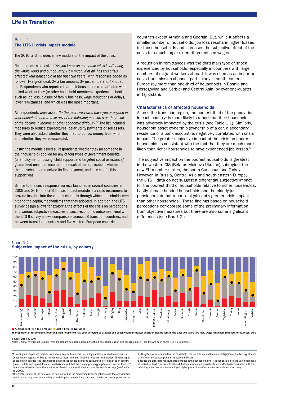#### Box 1.1 The LiTS II crisis impact module

The 2010 LiTS includes a new module on the impact of the crisis.

Respondents were asked *"As you know an economic crisis is affecting the whole world and our country. How much, if at all, has this crisis affected your household in the past two years?* with responses coded as follows: 1=a great deal, 2= a fair amount, 3= just a little and 4=not at all. Respondents who reported that their households were affected were asked whether they (or other household members) experienced shocks such as job loss, closure of family business, wage reductions or delays, lower remittances, and which was the most important.

All respondents were asked *"In the past two years, have you or anyone in your household had to take any of the following measures as the result of the decline in income or other economic difficulty?"* The list included measures to reduce expenditures, delay utility payments or sell assets. They were also asked whether they tried to borrow money, from whom and whether they were successful.

Lastly, the module asked all respondents whether they (or someone in their household) applied for any of four types of government benefits (unemployment, housing, child support and targeted social assistance/ guaranteed minimum income), the result of the application, whether the household had received its first payment, and how helpful this support was.

Similar to the crisis response surveys launched in several countries in 2009 and 2010, the LiTS II crisis impact module is a rapid instrument to provide insights into the various channels through which households were hit and the coping mechanisms that they adopted. In addition, the LiTS II survey design allows for exploring the effects of the crisis on perceptions and various subjective measures of socio-economic outcomes. Finally, the LiTS II survey allows comparisons across 28 transition countries, and between transition countries and five western European countries.

countries except Armenia and Georgia. But, while it affects a smaller number of households, job loss results in higher losses for those households and increases the subjective effect of the crisis to a much larger extent than reduced wages.

A reduction in remittances was the third main type of shock experienced by households, especially in countries with large numbers of migrant workers abroad. It was cited as an important crisis transmission channel, particularly in south-eastern Europe (by more than one-third of households in Bosnia and Herzegovina and Serbia) and Central Asia (by over one-quarter in Tajikistan).

#### Characteristics of affected households

Across the transition region, the poorest third of the population in each country<sup>4</sup> is more likely to report that their household was adversely impacted by the crisis (see Table 1.1). Similarly, household asset ownership (ownership of a car, a secondary residence or a bank account) is negatively correlated with crisis impact. The greater subjective impact of the crisis on poorer households is consistent with the fact that they are much more likely than richer households to have experienced job losses.<sup>5</sup>

The subjective impact on the poorest households is greatest in the western CIS (Belarus-Moldova-Ukraine) subregion, the new EU member states, the south Caucasus and Turkey. However, in Russia, Central Asia and south-eastern Europe, the LiTS II data do not suggest a differential subjective impact for the poorest third of households relative to richer households. Lastly, female-headed households and the elderly (or pensioners) do not report a significantly greater crisis impact than other households.<sup>6</sup> These findings based on household perceptions corroborate some of the preliminary information from objective measures but there are also some significant differences (see Box 1.2.)



Subjective impact of the crisis, by country

Chart 1.1

Source: LiTS II (2010).

Note: regional averages throughout this chapter are weighted according to the different population size of each country - see the Annex on pages 114-15 for details.

4 A housing and expenses module (with seven expenditure items, including durables) is used to construct a consumption aggregate. Due to low response rates, actual or imputed rents are not included. The per capita consumption aggregate is then used to divide respondents into three consumption terciles in each country (lower, middle and upper). Previous analysis showed that the consumption aggregates constructed from LiTS I compare well with conventional measures based on national accounts and household surveys (see Zaidi et al, 2009).

by the job loss experienced by the household. The data do not enable an investigation of the two hypotheses as only current consumption is measured in LiTS II.

6 Because the LiTS data measure crisis impact at the household level, it is not possible to analyse differences at individual level. The lower likelihood that female-headed households were affected is consistent with the crisis impact on sectors that employed higher proportions of males (for example, construction).

5The greater impact of the crisis on the poor as well as the correlation between job loss and low consumption could be due to greater vulnerability of initially poor households to job loss, or to lower consumption caused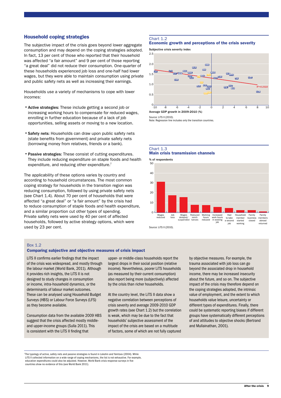## Household coping strategies

The subjective impact of the crisis goes beyond lower aggregate consumption and may depend on the coping strategies adopted. In fact, 13 per cent of those who reported that their household was affected "a fair amount" and 9 per cent of those reporting "a great deal" did not reduce their consumption. One-quarter of these households experienced job loss and one-half had lower wages, but they were able to maintain consumption using private and public safety nets as well as increasing their earnings.

Households use a variety of mechanisms to cope with lower incomes:

- •Active strategies: These include getting a second job or increasing working hours to compensate for reduced wages, enrolling in further education because of a lack of job opportunities, selling assets or moving to a new location.
- •Safety nets: Households can draw upon public safety nets (state benefits from government) and private safety nets (borrowing money from relatives, friends or a bank).
- •Passive strategies: These consist of cutting expenditures. They include reducing expenditure on staple foods and health expenditure, and reducing other expenditure.<sup>7</sup>

The applicability of these options varies by country and according to household circumstances. The most common coping strategy for households in the transition region was reducing consumption, followed by using private safety nets (see Chart 1.4). About 70 per cent of households that were affected "a great deal" or "a fair amount" by the crisis had to reduce consumption of staple foods and health expenditure, and a similar proportion cut other types of spending. Private safety nets were used by 40 per cent of affected households, followed by active strategy options, which were used by 23 per cent.

#### Chart 1.2

## Economic growth and perceptions of the crisis severity

Subjective crisis severity index



Source: LiTS II (2010).

Note: Regression line includes only the transition countries.





#### Box 1.2

#### Comparing subjective and objective measures of crisis impact

LiTS II confirms earlier findings that the impact of the crisis was widespread, and mostly through the labour market (World Bank, 2011). Although it provides rich insights, the LiTS II is not designed to study changes in consumption or income, intra-household dynamics, or the determinants of labour market outcomes. These can be analysed using Household Budget Surveys (HBS) or Labour Force Surveys (LFS) as they become available.

Consumption data from the available 2009 HBS suggest that the crisis affected mostly middleand upper-income groups (Sulla 2011). This is consistent with the LiTS II finding that

upper- or middle-class households report the largest drops in their social position (relative income). Nevertheless, poorer LiTS households (as measured by their current consumption) also report being more (subjectively) affected by the crisis than richer households.

At the country level, the LiTS II data show a negative correlation between perceptions of crisis severity and average 2009-2010 GDP growth rates (see Chart 1.2) but the correlation is weak, which may be due to the fact that households' subjective assessment of the impact of the crisis are based on a multitude of factors, some of which are not fully captured by objective measures. For example, the trauma associated with job loss can go beyond the associated drop in household income, there may be increased insecurity about the future, and so on. The subjective impact of the crisis may therefore depend on the coping strategies adopted, the intrinsic value of employment, and the extent to which households value leisure, uncertainty or different types of expenditures. Finally, there could be systematic reporting biases if different groups have systematically different perceptions of and attitudes to objective shocks (Bertrand and Mullainathan, 2001).

 $^7$ The typology of active, safety nets and passive strategies is found in Lokshin and Yemtsov (2004). While LiTS II collected information on a wide range of coping mechanisms, the list is not exhaustive. For example education expenditures could also be adjusted. However, World Bank crisis response surveys in five education expenditures could also be adjusted. However, World Bank crisis response surveys response surveys response surveys in  $\alpha$ countries show no evidence of this (see World Bank 2011).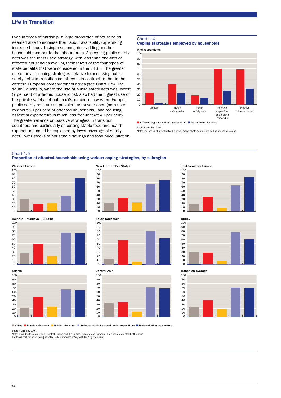# Life in Transition

Even in times of hardship, a large proportion of households seemed able to increase their labour availability (by working increased hours, taking a second job or adding another household member to the labour force). Accessing public safety nets was the least used strategy, with less than one-fifth of affected households availing themselves of the four types of state benefits that were considered in the LiTS II. The greater use of private coping strategies (relative to accessing public safety nets) in transition countries is in contrast to that in the western European comparator countries (see Chart 1.5). The south Caucasus, where the use of public safety nets was lowest (7 per cent of affected households), also had the highest use of the private safety net option (58 per cent). In western Europe, public safety nets are as prevalent as private ones (both used by about 20 per cent of affected households), and reducing essential expenditure is much less frequent (at 40 per cent). The greater reliance on passive strategies in transition countries, and particularly on cutting staple food and health expenditure, could be explained by lower coverage of safety nets, lower stocks of household savings and food price inflation.

#### Chart 1.4





Source: LiTS II (2010).

Note: For those not affected by the crisis, active strategies include selling assets or moving.

## Chart 1.5

Proportion of affected households using various coping strategies, by subregion







#### New EU member States\*







#### Central Asia



#### South-eastern Europe





#### Transition average



■ Active ■ Private safety nets ■ Public safety nets ■ Reduced staple food and health expenditure ■ Reduced other expenditure

Source: LiTS II (2010).

Note: \* Includes the countries of Central Europe and the Baltics, Bulgaria and Romania. Households affected by the crisis

are those that reported being affected "a fair amount" or "a great deal" by the crisis.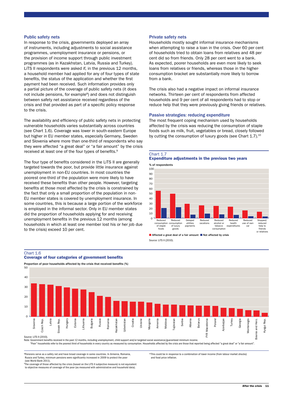#### Public safety nets

In response to the crisis, governments deployed an array of instruments, including adjustments to social assistance programmes, unemployment insurance or pensions, or the provision of income support through public investment programmes (as in Kazakhstan, Latvia, Russia and Turkey). LiTS II respondents were asked if, in the previous 12 months, a household member had applied for any of four types of state benefits, the status of the application and whether the first payment had been received. Such information provides only a partial picture of the coverage of public safety nets (it does not include pensions, for example<sup>8</sup>) and does not distinguish between safety net assistance received regardless of the crisis and that provided as part of a specific policy response to the crisis.

The availability and efficiency of public safety nets in protecting vulnerable households varies substantially across countries (see Chart 1.6). Coverage was lower in south-eastern Europe but higher in EU member states, especially Germany, Sweden and Slovenia where more than one-third of respondents who say they were affected "a great deal" or "a fair amount" by the crisis received at least one of the four types of benefits.<sup>9</sup>

The four type of benefits considered in the LiTS II are generally targeted towards the poor, but provide little insurance against unemployment in non-EU countries. In most countries the poorest one-third of the population were more likely to have received these benefits than other people. However, targeting benefits at those most affected by the crisis is constrained by the fact that only a small proportion of the population in non-EU member states is covered by unemployment insurance. In some countries, this is because a large portion of the workforce is employed in the informal sector. Only in EU member states did the proportion of households applying for and receiving unemployment benefits in the previous 12 months (among households in which at least one member lost his or her job due to the crisis) exceed 10 per cent.

#### Private safety nets

Households mostly sought informal insurance mechanisms when attempting to raise a loan in the crisis. Over 60 per cent of households tried to obtain loans from relatives and 48 per cent did so from friends. Only 28 per cent went to a bank. As expected, poorer households are even more likely to seek loans from relatives or friends, whereas those in the higherconsumption bracket are substantially more likely to borrow from a bank.

The crisis also had a negative impact on informal insurance networks. Thirteen per cent of respondents from affected households and 9 per cent of all respondents had to stop or reduce help that they were previously giving friends or relatives.

#### Passive strategies: reducing expenditure

The most frequent coping mechanism used by households affected by the crisis was reducing the consumption of staple foods such as milk, fruit, vegetables or bread, closely followed by cutting the consumption of luxury goods (see Chart 1.7).<sup>10</sup>







Source: LiTS II (2010). ■ Affected a great deal of a fair amount ■ Not affected by crisis

# Proportion of poor households affected by the crisis that received benefits (%) 50 40 30 20 10  $\Omega$ overnment benefits received in the paorest third of households in every country as measured by consumption. Households affected by the crisis are those that reported being affected "a great deal" or "a fair amount".<br>"Poo and Herz. Bosnia and Herz. **Vrgyz Rep.** Kyrgyz Rep. snia Source: LiTS II (2010).

8 Pensions serve as a safety net and have broad coverage in some countries. In Armenia, Romania, Russia and Turkey, minimum pensions were significantly increased in 2009 to protect the poor (see World Bank 2011).

9 The coverage of those affected by the crisis (based on the LiTS II subjective measure) is not equivalent to objective measures of coverage of the poor (as measured with administrative and household data).

10This could be in response to a combination of lower income (from labour market shocks) and food price inflation.

Chart 1.6 Coverage of four categories of government benefits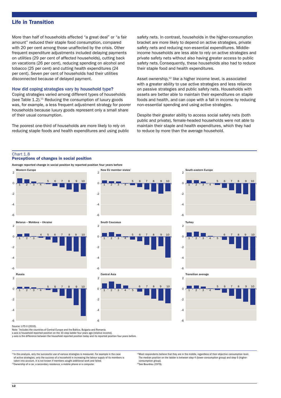# Life in Transition

More than half of households affected "a great deal" or "a fair amount" reduced their staple food consumption, compared with 20 per cent among those unaffected by the crisis. Other frequent expenditure adjustments included delaying payments on utilities (29 per cent of affected households), cutting back on vacations (26 per cent), reducing spending on alcohol and tobacco (25 per cent) and cutting health expenditures (24 per cent). Seven per cent of households had their utilities disconnected because of delayed payment.

#### How did coping strategies vary by household type?

Coping strategies varied among different types of households (see Table  $1.2$ ).<sup>11</sup> Reducing the consumption of luxury goods was, for example, a less frequent adjustment strategy for poorer households because luxury goods represent only a small share of their usual consumption.

The poorest one-third of households are more likely to rely on reducing staple foods and health expenditures and using public safety nets. In contrast, households in the higher-consumption bracket are more likely to depend on active strategies, private safety nets and reducing non-essential expenditures. Middleincome households are less able to rely on active strategies and private safety nets without also having greater access to public safety nets. Consequently, these households also had to reduce their staple food and health expenditures.

Asset ownership,<sup>12</sup> like a higher income level, is associated with a greater ability to use active strategies and less reliance on passive strategies and public safety nets. Households with assets are better able to maintain their expenditures on staple foods and health, and can cope with a fall in income by reducing non-essential spending and using active strategies.

Despite their greater ability to access social safety nets (both public and private), female-headed households were not able to maintain their staple and health expenditures, which they had to reduce by more than the average household.

#### Chart 1.8

#### Perceptions of changes in social position



Source: LiTS II (2010).

Note: \* Includes the countries of Central Europe and the Baltics, Bulgaria and Romania.

x-axis is household reported position on the 10-step ladder four years ago (relative income).

y-axis is the difference between the household reported position today and its reported position four years before.

<sup>11</sup>In this analysis, only the successful use of various strategies is measured. For example in the case of active strategies, only the success of a household in increasing the labour supply of its members is

taken into account. It is not known if members sought additional work and failed.

<sup>12</sup>Ownership of a car, a secondary residence, a mobile phone or a computer

<sup>13</sup>Most respondents believe that they are in the middle, regardless of their objective consumption level. The median position on the ladder is between step 4 (lower-consumption group) and step 5 (higherconsumption group). 14See Bourdieu (1979).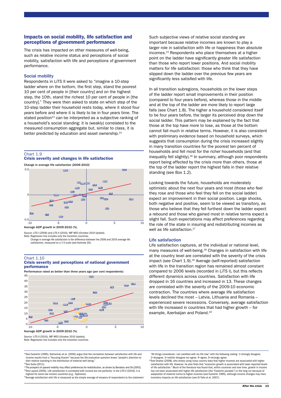#### Impacts on social mobility, life satisfaction and perceptions of government performance

The crisis has impacted on other measures of well-being, such as relative income status and perceptions of social mobility, satisfaction with life and perceptions of government performance.

#### Social mobility

Respondents in LiTS II were asked to "imagine a 10-step ladder where on the bottom, the first step, stand the poorest 10 per cent of people in [their country] and on the highest step, the 10th, stand the richest 10 per cent of people in [the country]." They were then asked to state on which step of the 10-step ladder their household rests today, where it stood four years before and where it is likely to be in four years time. The stated position<sup>13</sup> can be interpreted as a subjective ranking of a household's social standing: it is (weakly) correlated to the measured consumption aggregate but, similar to class, it is better predicted by education and asset ownership.<sup>14</sup>

# Chart 1.9





Average GDP growth in 2009-2010 (%)

Source: LiTS I (2006) and LiTS II (2010), IMF WEO (October 2010 Update). Note: Regression line includes only the transition countries.

Change in average life satisfaction is the difference between the 2006 and 2010 average life satisfaction, measured on a 1-5 scale (see footnote 20).

#### Chart 1.10 Crisis severity and perceptions of national government performance

Performance rated as better than three years ago (per cent respondents)



Source: LiTS II (2010), IME WEO (October 2010 Update).

Note: Regression line includes only the transition countries.

<sup>15</sup>See Easterlin (1995). Kahneman et al. (2006) argue that the correlation between satisfaction with life and income results from a "focusing illusion" because the life evaluation question draws "people's attention to their relative standing in the distribution of material well-being. 16See Sulla (2011).

<sup>17</sup>The prospect of upward mobility may affect preferences for redistribution, as shown by Benabou and Ok (2001).  $18$ See Layard (2005). Life satisfaction is correlated with income but not perfectly: in the LiTS II (2010), it is

highest for some low income-countries (e.g., Tajikistan).

<sup>19</sup>Average satisfaction with life is measured as the simple average of answers of respondents to the statement

Such subjective views of relative social standing are important because relative incomes are known to play a larger role in satisfaction with life or happiness than absolute incomes.15 Respondents who place themselves at a higher point on the ladder have significantly greater life satisfaction than those who report lower positions. And social mobility matters for life satisfaction: those who think that they have slipped down the ladder over the previous few years are significantly less satisfied with life.

In all transition subregions, households on the lower steps of the ladder report small improvements in their position (compared to four years before), whereas those in the middle and at the top of the ladder are more likely to report large falls (see Chart 1.8). The higher a household considered itself to be four years before, the larger its perceived drop down the social ladder. This pattern may be explained by the fact that those at the top have more to lose, as those at the bottom cannot fall much in relative terms. However, it is also consistent with preliminary evidence based on household surveys, which suggests that consumption during the crisis increased slightly in many transition countries for the poorest ten percent of households and fell most for the richer households (and that inequality fell slightly). $16$  In summary, although poor respondents report being affected by the crisis more than others, those at the top of the ladder report the highest falls in their relative standing (see Box 1.2).

Looking towards the future, households are moderately optimistic about the next four years and most (those who feel they rose and those who feel they fell on the social ladder) expect an improvement in their social position. Large shocks, both negative and positive, seem to be viewed as transitory, as those who believe that they fell furthest down the ladder expect a rebound and those who gained most in relative terms expect a slight fall. Such expectations may affect preferences regarding the role of the state in insuring and redistributing incomes as well as life satisfaction.<sup>17</sup>

#### Life satisfaction

Life satisfaction captures, at the individual or national level, many measures of well-being.<sup>18</sup> Changes in satisfaction with life at the country level are correlated with the severity of the crisis impact (see Chart 1.9).<sup>19</sup> Average (self-reported) satisfaction with life in the transition region has remained almost constant compared to 2006 levels (recorded in LiTS I), but this reflects different dynamics across countries. Satisfaction with life dropped in 16 countries and increased in 13. These changes are correlated with the severity of the 2009-10 economic contraction. The countries where average life satisfaction levels declined the most – Latvia, Lithuania and Romania – experienced severe recessions. Conversely, average satisfaction with life increased in countries that had higher growth – for example, Azerbaijan and Poland.<sup>20</sup>

<sup>0</sup>See Deaton (2008), who shows using cross-country data that higher incomes are associated with higher satisfaction with life. However, he also finds that "economic growth is associated with lower reported levels of life satisfaction." Much of the literature has found that, within countries and over time, growth in income has not been associated with higher life satisfaction (the "Easterlin paradox") in the long run because of adaptation of material norms to higher incomes (see Easterlin 1995), although income changes may have adaptation of material norms to higher incomes (see Easterlin 1995), although income changes may have transitory impacts on life satisfaction (see Di Tella et al. 2007).

<sup>&</sup>quot;All things considered, I am satisfied with my life now" with the following coding: 1=strongly disagree, 2=disagree, 3=neither disagree nor agree, 4=agree, 5=strongly agree.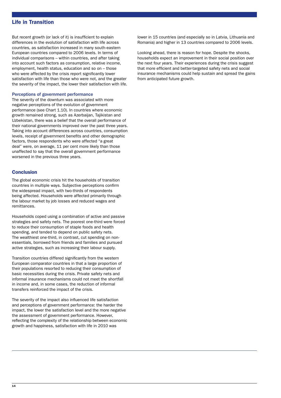# Life in Transition

But recent growth (or lack of it) is insufficient to explain differences in the evolution of satisfaction with life across countries, as satisfaction increased in many south-eastern European countries compared to 2006 levels. In terms of individual comparisons – within countries, and after taking into account such factors as consumption, relative income, employment, health status, education and so on – those who were affected by the crisis report significantly lower satisfaction with life than those who were not, and the greater the severity of the impact, the lower their satisfaction with life.

#### Perceptions of government performance

The severity of the downturn was associated with more negative perceptions of the evolution of government performance (see Chart 1.10). In countries where economic growth remained strong, such as Azerbaijan, Tajikistan and Uzbekistan, there was a belief that the overall performance of their national governments improved over the past three years. Taking into account differences across countries, consumption levels, receipt of government benefits and other demographic factors, those respondents who were affected "a great deal" were, on average, 11 per cent more likely than those unaffected to say that the overall government performance worsened in the previous three years.

## **Conclusion**

The global economic crisis hit the households of transition countries in multiple ways. Subjective perceptions confirm the widespread impact, with two-thirds of respondents being affected. Households were affected primarily through the labour market by job losses and reduced wages and remittances.

Households coped using a combination of active and passive strategies and safety nets. The poorest one-third were forced to reduce their consumption of staple foods and health spending, and tended to depend on public safety nets. The wealthiest one-third, in contrast, cut spending on nonessentials, borrowed from friends and families and pursued active strategies, such as increasing their labour supply.

Transition countries differed significantly from the western European comparator countries in that a large proportion of their populations resorted to reducing their consumption of basic necessities during the crisis. Private safety nets and informal insurance mechanisms could not meet the shortfall in income and, in some cases, the reduction of informal transfers reinforced the impact of the crisis.

The severity of the impact also influenced life satisfaction and perceptions of government performance: the harder the impact, the lower the satisfaction level and the more negative the assessment of government performance. However, reflecting the complexity of the relationship between economic growth and happiness, satisfaction with life in 2010 was

lower in 15 countries (and especially so in Latvia, Lithuania and Romania) and higher in 13 countries compared to 2006 levels.

Looking ahead, there is reason for hope. Despite the shocks, households expect an improvement in their social position over the next four years. Their experiences during the crisis suggest that more efficient and better-targeted safety nets and social insurance mechanisms could help sustain and spread the gains from anticipated future growth.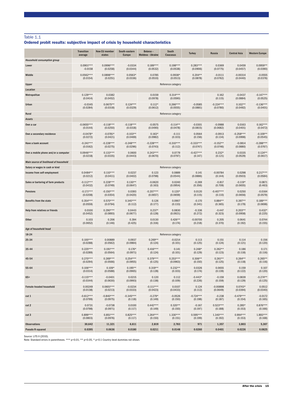#### Table 1.1

|  |  | Ordered probit results: subjective impact of crisis by household characteristics |
|--|--|----------------------------------------------------------------------------------|
|--|--|----------------------------------------------------------------------------------|

|                                        | <b>Transition</b><br>average | <b>New EU member</b><br>states | South-eastern<br><b>Europe</b> | Belarus-<br>Moldova - Ukraine | South<br>Caucasus      | <b>Turkey</b> | Russia           | <b>Central Asia</b>   | <b>Western Europe</b>   |
|----------------------------------------|------------------------------|--------------------------------|--------------------------------|-------------------------------|------------------------|---------------|------------------|-----------------------|-------------------------|
| <b>Household consumption group</b>     |                              |                                |                                |                               |                        |               |                  |                       |                         |
| Lower                                  | $0.0901***$                  | $0.0996***$                    | $-0.0334$                      | $0.189***$                    | $0.198***$             | $0.283***$    | 0.0369           | 0.0459                | $0.0959**$              |
|                                        | $-0.0158$                    | (0.0258)                       | (0.0344)                       | (0.0532)                      | (0.0538)               | (0.0906)      | (0.0775)         | (0.0457)              | (0.0390)                |
| Middle                                 | $0.0562***$                  | $0.0898***$                    | $0.0563*$                      | 0.0785                        | $0.0938*$              | $0.204**$     | $-0.0111$        | $-0.00314$            | $-0.0555$               |
|                                        | (0.0154)                     | (0.0251)                       | (0.0336)                       | (0.0510)                      | (0.0513)               | (0.0878)      | (0.0762)         | (0.0440)              | (0.0376)                |
| Upper                                  |                              |                                |                                |                               | Reference category     |               |                  |                       |                         |
| Location                               |                              |                                |                                |                               |                        |               |                  |                       |                         |
| Metropolitan                           | $0.129***$<br>(0.0414)       | 0.0382<br>(0.0452)             |                                | 0.0159<br>(0.0978)            | $0.314***$<br>(0.0590) |               | 0.162<br>(0.115) | $-0.0437$<br>(0.0884) | $-0.147***$<br>(0.0525) |
| Urban                                  | $-0.0345$                    | $0.0675**$                     | $0.124***$                     | $0.112*$                      | $0.266***$             | $-0.0585$     | $-0.224***$      | $0.102**$             | $-0.136***$             |
|                                        | (0.0284)                     | (0.0318)                       | (0.0329)                       | (0.0612)                      | (0.0555)               | (0.0881)      | (0.0780)         | (0.0492)              | (0.0401)                |
| Rural                                  |                              |                                |                                |                               | Reference category     |               |                  |                       |                         |
| Assets                                 |                              |                                |                                |                               |                        |               |                  |                       |                         |
| Own a car                              | $-0.0655***$                 | $-0.118***$                    | $-0.118***$                    | $-0.0575$                     | $-0.114**$             | $-0.0301$     | $-0.0988$        | 0.0163                | $0.162***$              |
|                                        | (0.0144)                     | (0.0250)                       | (0.0318)                       | (0.0490)                      | (0.0478)               | (0.0815)      | (0.0682)         | (0.0401)              | (0.0472)                |
| Own a secondary residence              | $-0.0478*$                   | $-0.0781*$                     | $-0.103**$                     | $0.163*$                      | $-0.111$               | 0.0564        | $-0.0913$        | $-0.258***$           | $-0.109**$              |
|                                        | (0.0272)                     | (0.0421)                       | (0.0469)                       | (0.0982)                      | (0.103)                | (0.156)       | (0.134)          | (0.0998)              | (0.0545)                |
| Have a bank account                    | $-0.241***$                  | $-0.228***$                    | $-0.248***$                    | $-0.228***$                   | $-0.310***$            | $-0.333***$   | $-0.152**$       | $-0.0814$             | $-0.288***$             |
|                                        | (0.0162)                     | (0.0275)                       | (0.0296)                       | (0.0743)                      | (0.112)                | (0.0747)      | (0.0746)         | (0.0880)              | (0.0767)                |
| Own a mobile phone and/or a computer   | $0.0946***$                  | $0.133***$                     | 0.0600                         | $0.243***$                    | 0.0779                 | $-0.427***$   | $0.232*$         | 0.0335                | $0.124**$               |
|                                        | (0.0218)                     | (0.0335)                       | (0.0443)                       | (0.0670)                      | (0.0797)               | (0.147)       | (0.121)          | (0.0529)              | (0.0617)                |
| Main source of livelihood of household |                              |                                |                                |                               |                        |               |                  |                       |                         |
| Salary or wages in cash or kind        |                              |                                |                                |                               | Reference category     |               |                  |                       |                         |
| Income from self-employment            | $0.0484**$                   | $0.110***$                     | 0.0237                         | 0.123                         | 0.0889                 | 0.141         | $-0.00784$       | 0.0298                | $0.217***$              |
|                                        | (0.0212)                     | (0.0411)                       | (0.0402)                       | (0.0798)                      | (0.0544)               | (0.0886)      | (0.144)          | (0.0503)              | (0.0584)                |
| Sales or bartering of farm products    | $-0.112***$                  | $0.228***$                     | $0.130**$                      | $-0.0620$                     | 0.0240                 | $-0.269$      | $-0.817$         | $-0.119*$             | 0.0871                  |
|                                        | (0.0432)                     | (0.0749)                       | (0.0647)                       | (0.163)                       | (0.0954)               | (0.356)       | (0.709)          | (0.0655)              | (0.463)                 |
| <b>Pensions</b>                        | $-0.171***$                  | $-0.150***$                    | 0.0393                         | $-0.207***$                   | $0.120*$               | 0.0120        | $-0.407***$      | 0.0250                | $-0.0164$               |
|                                        | (0.0208)                     | (0.0354)                       | (0.0420)                       | (0.0657)                      | (0.0659)               | (0.115)       | (0.110)          | (0.0656)              | (0.0579)                |
| <b>Benefits from the state</b>         | $0.354***$                   | $0.570***$                     | $0.340***$                     | 0.126                         | 0.0907                 | $-0.170$      | $0.884**$        | $0.397**$             | $0.189***$              |
|                                        | (0.0559)                     | (0.0794)                       | (0.112)                        | (0.177)                       | (0.133)                | (0.341)       | (0.365)          | (0.179)               | (0.0698)                |
| Help from relatives or friends         | 0.0100                       | $0.290***$                     | 0.0443                         | $0.237*$                      | 0.0830                 | $-0.336$      | $-0.447$         | $0.203**$             | $0.432*$                |
|                                        | (0.0452)                     | (0.0893)                       | (0.0677)                       | (0.128)                       | (0.0921)               | (0.272)       | (0.323)          | (0.0958)              | (0.225)                 |
| Other                                  | 0.103                        | 0.206                          | 0.394                          | 0.0130                        | $0.426**$              | $-0.00700$    | 0.205            | 0.0641                | 0.0744                  |
|                                        | (0.0652)                     | (0.146)                        | (0.425)                        | (0.316)                       | (0.174)                | (0.218)       | (0.370)          | (0.192)               | (0.155)                 |
| Age of household head                  |                              |                                |                                |                               |                        |               |                  |                       |                         |
| 18-24                                  |                              |                                |                                |                               | Reference category     |               |                  |                       |                         |
| 25-34                                  | $0.100***$                   | 0.00889                        | 0.0937                         | $0.269**$                     | $-0.0214$              | 0.113         | 0.151            | 0.114                 | 0.156                   |
|                                        | (0.0288)                     | (0.0562)                       | (0.0984)                       | (0.124)                       | (0.101)                | (0.125)       | (0.124)          | (0.121)               | (0.120)                 |
| 35-44                                  | $0.225***$                   | $0.191***$                     | $0.176*$                       | $0.416***$                    | 0.141                  | $0.248*$      | $0.262**$        | 0.186                 | 0.171                   |
|                                        | (0.0289)                     | (0.0564)                       | (0.0971)                       | (0.124)                       | (0.101)                | (0.129)       | (0.123)          | (0.118)               | (0.116)                 |
| 45-54                                  | $0.270***$                   | $0.269***$                     | $0.254***$                     | $0.379***$                    | $0.253***$             | $0.306**$     | $0.261**$        | $0.264**$             | $0.265**$               |
|                                        | (0.0294)                     | (0.0566)                       | (0.0955)                       | (0.125)                       | (0.0963)               | (0.150)       | (0.125)          | (0.118)               | (0.116)                 |
| 55-64                                  | $0.106***$                   | $0.109*$                       | $0.195**$                      | $0.319**$                     | $0.232**$              | 0.0326        | 0.0655           | 0.159                 | 0.107                   |
|                                        | (0.0314)                     | (0.0588)                       | (0.0965)                       | (0.128)                       | (0.103)                | (0.174)       | (0.139)          | (0.122)               | (0.120)                 |
| $65+$                                  | $-0.115***$                  | $-0.0401$                      | 0.0215                         | 0.120                         | 0.112                  | $-0.443*$     | $-0.159$         | 0.0839                | $-0.274**$              |
|                                        | (0.0344)                     | (0.0630)                       | (0.0993)                       | (0.138)                       | (0.109)                | (0.226)       | (0.159)          | (0.129)               | (0.125)                 |
| Female-headed household                | 0.00249                      | $0.0601***$                    | $-0.0234$                      | $-0.111***$                   | 0.0107                 | 0.124         | $-0.00898$       | $0.0743*$             | 0.0512                  |
|                                        | (0.0138)                     | (0.0213)                       | (0.0333)                       | (0.0423)                      | (0.0433)               | (0.112)       | (0.0649)         | (0.0394)              | (0.0340)                |
| cut 1                                  | $-0.612***$                  | $-0.840***$                    | $-0.345***$                    | $-0.279*$                     | $-0.0526$              | $-0.724***$   | $-0.238$         | $-0.479***$           | $-0.0172$               |
|                                        | (0.0799)                     | (0.0975)                       | (0.118)                        | (0.149)                       | (0.150)                | (0.198)       | (0.187)          | (0.154)               | (0.165)                 |
| cut 2                                  | 0.0731                       | $-0.0738$                      | 0.0100                         | $0.442***$                    | $0.320**$              | $-0.167$      | $0.523***$       | $0.285*$              | $0.876***$              |
|                                        | (0.0798)                     | (0.0971)                       | (0.117)                        | (0.149)                       | (0.150)                | (0.197)       | (0.188)          | (0.153)               | (0.166)                 |
| cut 3                                  | $0.899***$                   | $0.851***$                     | $0.825***$                     | $1.264***$                    | $1.330***$             | $0.595***$    | $1.340***$       | $0.994***$            | $1.893***$              |
|                                        | (0.0803)                     | (0.0976)                       | (0.117)                        | (0.150)                       | (0.151)                | (0.199)       | (0.192)          | (0.153)               | (0.168)                 |
| <b>Observations</b>                    | 30,642                       | 11,321                         | 6,611                          | 2,819                         | 2,783                  | 971           | 1,357            | 3,803                 | 5,307                   |
| <b>Pseudo R-squared</b>                | 0.0395                       | 0.0636                         | 0.0180                         | 0.0211                        | 0.0148                 | 0.0260        | 0.0401           | 0.0226                | 0.0825                  |

Source: LiTS II (2010). Note: Standard errors in parentheses. \*\*\* p<0.01, \*\* p<0.05, \* p<0.1 Country-level dummies not shown.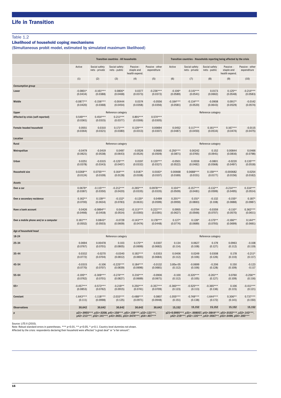# Table 1.2

## Likelihood of household coping mechanisms

(Simultaneous probit model, estimated by simulated maximum likelihood)

|                                      | <b>Transition countries - All households</b>                                                                                      |                                 |                                |                                           | Transition countries - Households reporting being affected by the crisis                                                               |                    |                                 |                                |                                           |                                |  |
|--------------------------------------|-----------------------------------------------------------------------------------------------------------------------------------|---------------------------------|--------------------------------|-------------------------------------------|----------------------------------------------------------------------------------------------------------------------------------------|--------------------|---------------------------------|--------------------------------|-------------------------------------------|--------------------------------|--|
|                                      | Active                                                                                                                            | Social safety<br>nets - private | Social safety<br>nets - public | Passive -<br>staple and<br>health expend. | Passive - other<br>expenditure                                                                                                         | Active             | Social safety<br>nets - private | Social safety<br>nets - public | Passive -<br>staple and<br>health expend. | Passive - other<br>expenditure |  |
|                                      | (1)                                                                                                                               | (2)                             | (3)                            | (4)                                       | (5)                                                                                                                                    | (6)                | (7)                             | (8)                            | (9)                                       | (10)                           |  |
| <b>Consumption group</b>             |                                                                                                                                   |                                 |                                |                                           |                                                                                                                                        |                    |                                 |                                |                                           |                                |  |
| Lower                                | $-0.0801*$                                                                                                                        | $-0.161***$                     | $0.0800*$                      | 0.0377                                    | $-0.236***$                                                                                                                            | $-0.106*$          | $-0.141***$                     | 0.0173                         | $0.125**$                                 | $-0.214***$                    |  |
|                                      | (0.0434)                                                                                                                          | (0.0388)                        | (0.0468)                       | (0.0373)                                  | (0.0372)                                                                                                                               | (0.0589)           | (0.0541)                        | (0.0662)                       | (0.0548)                                  | (0.0583)                       |  |
| Middle                               | $-0.0877**$                                                                                                                       | $-0.156***$                     | $-0.00444$                     | 0.0374                                    | $-0.0556$                                                                                                                              | $-0.184***$        | $-0.134***$                     | $-0.0908$                      | $0.0917*$                                 | $-0.0142$                      |  |
|                                      | (0.0420)                                                                                                                          | (0.0368)                        | (0.0454)                       | (0.0358)                                  | (0.0356)                                                                                                                               | (0.0581)           | (0.0520)                        | (0.0643)                       | (0.0529)                                  | (0.0574)                       |  |
| Upper                                | Reference category                                                                                                                |                                 |                                |                                           |                                                                                                                                        | Reference category |                                 |                                |                                           |                                |  |
| Affected by crisis (self-reported)   | $0.549***$<br>(0.0361)                                                                                                            | $0.454***$<br>(0.0315)          | $0.211***$<br>(0.0377)         | $0.891***$<br>(0.0306)                    | $0.574***$<br>(0.0305)                                                                                                                 |                    |                                 |                                |                                           |                                |  |
| Female-headed household              | 0.0551                                                                                                                            | 0.0310                          | $0.171***$                     | $0.129***$                                | 0.00694                                                                                                                                | 0.0452             | $0.117***$                      | $0.161***$                     | $0.167***$                                | $-0.0115$                      |  |
|                                      | (0.0364)                                                                                                                          | (0.0321)                        | (0.0380)                       | (0.0313)                                  | (0.0307)                                                                                                                               | (0.0487)           | (0.0450)                        | (0.0534)                       | (0.0474)                                  | (0.0475)                       |  |
| Location                             |                                                                                                                                   |                                 |                                |                                           |                                                                                                                                        |                    |                                 |                                |                                           |                                |  |
| Rural                                |                                                                                                                                   |                                 | Reference category             |                                           |                                                                                                                                        | Reference category |                                 |                                |                                           |                                |  |
| Metropolitan                         | $-0.0479$                                                                                                                         | $-0.0419$                       | 0.0497                         | $-0.0526$                                 | 0.0665                                                                                                                                 | $-0.250***$        | 0.00242                         | 0.152                          | 0.00844                                   | 0.0466                         |  |
|                                      | (0.0621)                                                                                                                          | (0.0538)                        | (0.0643)                       | (0.0524)                                  | (0.0509)                                                                                                                               | (0.0871)           | (0.0765)                        | (0.0941)                       | (0.0816)                                  | (0.0798)                       |  |
| Urban                                | 0.0251                                                                                                                            | $-0.0315$                       | $-0.125***$                    | 0.0197                                    | $0.120***$                                                                                                                             | $-0.0501$          | 0.0559                          | $-0.0801$                      | $-0.0220$                                 | $0.135***$                     |  |
|                                      | (0.0378)                                                                                                                          | (0.0343)                        | (0.0407)                       | (0.0332)                                  | (0.0327)                                                                                                                               | (0.0522)           | (0.0482)                        | (0.0568)                       | (0.0497)                                  | (0.0518)                       |  |
| <b>Household size</b>                | $0.0268**$                                                                                                                        | $0.0755***$                     | $0.164***$                     | $0.0187*$                                 | $0.0183*$                                                                                                                              | 0.00668            | $0.0688***$                     | $0.159***$                     | $-0.000682$                               | 0.0254                         |  |
|                                      | (0.0124)                                                                                                                          | (0.0109)                        | (0.0128)                       | (0.0108)                                  | (0.0107)                                                                                                                               | (0.0169)           | (0.0151)                        | (0.0177)                       | (0.0156)                                  | (0.0162)                       |  |
| Assets                               |                                                                                                                                   |                                 |                                |                                           |                                                                                                                                        |                    |                                 |                                |                                           |                                |  |
| Own a car                            | $0.0679*$                                                                                                                         | $-0.115***$                     | $-0.212***$                    | $-0.265***$                               | $0.0978***$                                                                                                                            | $0.104**$          | $-0.157***$                     | $-0.132**$                     | $-0.214***$                               | $0.334***$                     |  |
|                                      | (0.0387)                                                                                                                          | (0.0350)                        | (0.0420)                       | (0.0335)                                  | (0.0335)                                                                                                                               | (0.0509)           | (0.0481)                        | (0.0599)                       | (0.0495)                                  | (0.0514)                       |  |
| Own a secondary residence            | $0.162**$                                                                                                                         | $0.139**$                       | $-0.132*$                      | $-0.120*$                                 | 0.0499                                                                                                                                 | $0.201**$          | $0.151*$                        | $-0.132$                       | $-0.155*$                                 | $0.187*$                       |  |
|                                      | (0.0700)                                                                                                                          | (0.0634)                        | (0.0783)                       | (0.0631)                                  | (0.0599)                                                                                                                               | (0.0959)           | (0.0883)                        | (0.108)                        | (0.0888)                                  | (0.0987)                       |  |
| Have a bank account                  | 0.0426                                                                                                                            | $-0.0894**$                     | 0.0412                         | $-0.113***$                               | $0.222***$                                                                                                                             | 0.0955             | $-0.0794$                       | $-0.0359$                      | $-0.110*$                                 | $0.362***$                     |  |
|                                      | (0.0466)                                                                                                                          | (0.0418)                        | (0.0514)                       | (0.0393)                                  | (0.0391)                                                                                                                               | (0.0627)           | (0.0566)                        | (0.0707)                       | (0.0570)                                  | (0.0611)                       |  |
| Own a mobile phone and/or a computer | $0.161***$                                                                                                                        | $0.0843*$                       | $-0.0729$                      | $-0.143***$                               | $0.178***$                                                                                                                             | $0.127*$           | $0.128*$                        | $-0.175**$                     | $-0.166**$                                | $0.144**$                      |  |
|                                      | (0.0552)                                                                                                                          | (0.0503)                        | (0.0609)                       | (0.0474)                                  | (0.0448)                                                                                                                               | (0.0774)           | (0.0689)                        | (0.0793)                       | (0.0699)                                  | (0.0661)                       |  |
| Age of household head                |                                                                                                                                   |                                 |                                |                                           |                                                                                                                                        |                    |                                 |                                |                                           |                                |  |
| 18-24                                |                                                                                                                                   |                                 | Reference category             |                                           |                                                                                                                                        | Reference category |                                 |                                |                                           |                                |  |
| 25-34                                | 0.0694                                                                                                                            | 0.00478                         | 0.103                          | $0.170**$                                 | 0.0307                                                                                                                                 | 0.134              | 0.0627                          | 0.179                          | 0.0963                                    | $-0.108$                       |  |
|                                      | (0.0767)                                                                                                                          | (0.0701)                        | (0.0805)                       | (0.0699)                                  | (0.0682)                                                                                                                               | (0.114)            | (0.108)                         | (0.127)                        | (0.112)                                   | (0.119)                        |  |
| 35-44                                | 0.0332                                                                                                                            | $-0.0270$                       | $-0.0340$                      | $0.192***$                                | 0.0353                                                                                                                                 | 0.0406             | 0.0249                          | 0.0308                         | 0.178                                     | $-0.211*$                      |  |
|                                      | (0.0772)                                                                                                                          | (0.0704)                        | (0.0812)                       | (0.0691)                                  | (0.0684)                                                                                                                               | (0.112)            | (0.106)                         | (0.126)                        | (0.110)                                   | (0.117)                        |  |
| 45-54                                | $-0.0315$                                                                                                                         | $-0.106$                        | $-0.225***$                    | $0.184***$                                | $-0.0132$                                                                                                                              | 3.85e-05           | $-0.0699$                       | $-0.206$                       | 0.150                                     | $-0.123$                       |  |
|                                      | (0.0770)                                                                                                                          | (0.0707)                        | (0.0839)                       | (0.0696)                                  | (0.0681)                                                                                                                               | (0.112)            | (0.106)                         | (0.128)                        | (0.109)                                   | $-0.117$                       |  |
| 55-64                                | $-0.195**$                                                                                                                        | $-0.309***$                     | $-0.274***$                    | $0.216***$                                | $-0.0906$                                                                                                                              | $-0.100$           | $-0.320***$                     | $-0.261**$                     | 0.0760                                    | $-0.256**$                     |  |
|                                      | (0.0762)                                                                                                                          | (0.0701)                        | (0.0827)                       | (0.0689)                                  | (0.0671)                                                                                                                               | (0.112)            | (0.105)                         | (0.127)                        | (0.109)                                   | (0.116)                        |  |
| $65+$                                | $-0.457***$                                                                                                                       | $-0.573***$                     | $-0.219**$                     | $0.250***$                                | $-0.357***$                                                                                                                            | $-0.360***$        | $-0.525***$                     | $-0.365***$                    | 0.106                                     | $-0.411***$                    |  |
|                                      | (0.0853)                                                                                                                          | (0.0762)                        | (0.0915)                       | (0.0741)                                  | (0.0709)                                                                                                                               | (0.123)            | (0.113)                         | (0.136)                        | (0.115)                                   | (0.121)                        |  |
| Constant                             | $-1.643***$                                                                                                                       | $-1.118***$                     | $-2.033***$                    | $-0.488***$                               | 0.0807                                                                                                                                 | $-1.055***$        | $-0.748***$                     | $-1.644***$                    | $0.306**$                                 | $0.737***$                     |  |
|                                      | (0.111)                                                                                                                           | (0.0998)                        | (0.125)                        | (0.0971)                                  | (0.0948)                                                                                                                               | (0.151)            | (0.138)                         | (0.172)                        | (0.141)                                   | (0.150)                        |  |
| <b>Observations</b>                  | 30,642                                                                                                                            | 30,642                          | 30,642                         | 30,642                                    | 30,642                                                                                                                                 | 15,152             | 15,152                          | 15,152                         | 15,152                                    | 15,152                         |  |
| p                                    | p21=.0955***, p31=.0208, p41=.158***, p51=.159***, p32=.121***,<br>p42=.213***, p52=.141***, p43=.0651, p53=.0474***, p54=.407*** |                                 |                                |                                           | p21=0.0995***, p31=-.008057, p41=.0844***, p51=.0102***, p32=.143***,<br>p42=.219***, p52=.135***, p43=.0567**, p53=.0499, p54=.285*** |                    |                                 |                                |                                           |                                |  |

Source: LiTS II (2010).<br>Note: Robust standard errors in parentheses. \*\*\* p<0.01, \*\* p<0.05, \* p<0.1. Country-level dummies not shown.<br>Affected by the crisis: respondents declaring their household were affected "a great dea